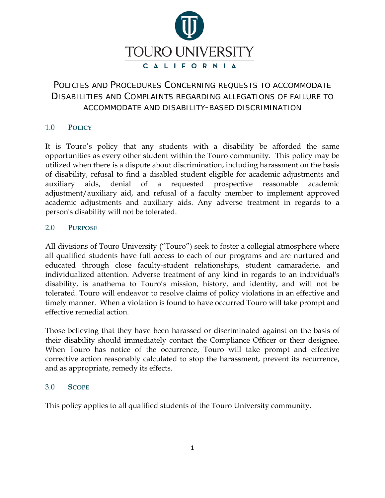

# POLICIES AND PROCEDURES CONCERNING REQUESTS TO ACCOMMODATE DISABILITIES AND COMPLAINTS REGARDING ALLEGATIONS OF FAILURE TO ACCOMMODATE AND DISABILITY-BASED DISCRIMINATION

# 1.0 **POLICY**

It is Touro's policy that any students with a disability be afforded the same opportunities as every other student within the Touro community. This policy may be utilized when there is a dispute about discrimination, including harassment on the basis of disability, refusal to find a disabled student eligible for academic adjustments and auxiliary aids, denial of a requested prospective reasonable academic adjustment/auxiliary aid, and refusal of a faculty member to implement approved academic adjustments and auxiliary aids. Any adverse treatment in regards to a person's disability will not be tolerated.

## 2.0 **PURPOSE**

All divisions of Touro University ("Touro") seek to foster a collegial atmosphere where all qualified students have full access to each of our programs and are nurtured and educated through close faculty-student relationships, student camaraderie, and individualized attention. Adverse treatment of any kind in regards to an individual's disability, is anathema to Touro's mission, history, and identity, and will not be tolerated. Touro will endeavor to resolve claims of policy violations in an effective and timely manner. When a violation is found to have occurred Touro will take prompt and effective remedial action.

Those believing that they have been harassed or discriminated against on the basis of their disability should immediately contact the Compliance Officer or their designee. When Touro has notice of the occurrence, Touro will take prompt and effective corrective action reasonably calculated to stop the harassment, prevent its recurrence, and as appropriate, remedy its effects.

#### 3.0 **SCOPE**

This policy applies to all qualified students of the Touro University community.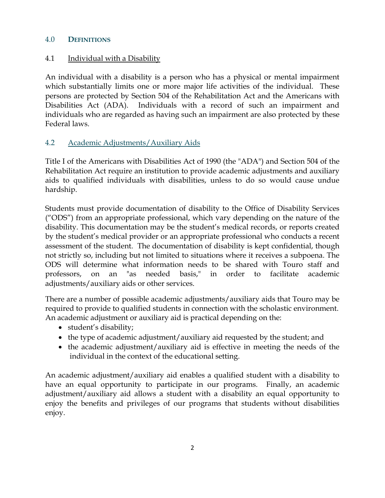#### 4.0 **DEFINITIONS**

## 4.1 Individual with a Disability

An individual with a disability is a person who has a physical or mental impairment which substantially limits one or more major life activities of the individual. These persons are protected by Section 504 of the Rehabilitation Act and the Americans with Disabilities Act (ADA). Individuals with a record of such an impairment and individuals who are regarded as having such an impairment are also protected by these Federal laws.

# 4.2 Academic Adjustments/Auxiliary Aids

Title I of the Americans with Disabilities Act of 1990 (the "ADA") and Section 504 of the Rehabilitation Act require an institution to provide academic adjustments and auxiliary aids to qualified individuals with disabilities, unless to do so would cause undue hardship.

Students must provide documentation of disability to the Office of Disability Services ("ODS") from an appropriate professional, which vary depending on the nature of the disability. This documentation may be the student's medical records, or reports created by the student's medical provider or an appropriate professional who conducts a recent assessment of the student. The documentation of disability is kept confidential, though not strictly so, including but not limited to situations where it receives a subpoena. The ODS will determine what information needs to be shared with Touro staff and professors, on an "as needed basis," in order to facilitate academic adjustments/auxiliary aids or other services.

There are a number of possible academic adjustments/auxiliary aids that Touro may be required to provide to qualified students in connection with the scholastic environment. An academic adjustment or auxiliary aid is practical depending on the:

- student's disability;
- the type of academic adjustment/auxiliary aid requested by the student; and
- the academic adjustment/auxiliary aid is effective in meeting the needs of the individual in the context of the educational setting.

An academic adjustment/auxiliary aid enables a qualified student with a disability to have an equal opportunity to participate in our programs. Finally, an academic adjustment/auxiliary aid allows a student with a disability an equal opportunity to enjoy the benefits and privileges of our programs that students without disabilities enjoy.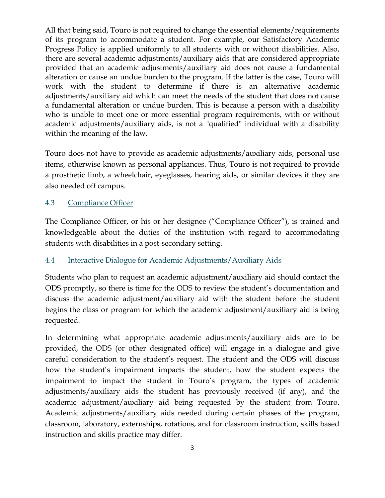All that being said, Touro is not required to change the essential elements/requirements of its program to accommodate a student. For example, our Satisfactory Academic Progress Policy is applied uniformly to all students with or without disabilities. Also, there are several academic adjustments/auxiliary aids that are considered appropriate provided that an academic adjustments/auxiliary aid does not cause a fundamental alteration or cause an undue burden to the program. If the latter is the case, Touro will work with the student to determine if there is an alternative academic adjustments/auxiliary aid which can meet the needs of the student that does not cause a fundamental alteration or undue burden. This is because a person with a disability who is unable to meet one or more essential program requirements, with or without academic adjustments/auxiliary aids, is not a "qualified" individual with a disability within the meaning of the law.

Touro does not have to provide as academic adjustments/auxiliary aids, personal use items, otherwise known as personal appliances. Thus, Touro is not required to provide a prosthetic limb, a wheelchair, eyeglasses, hearing aids, or similar devices if they are also needed off campus.

# 4.3 Compliance Officer

The Compliance Officer, or his or her designee ("Compliance Officer"), is trained and knowledgeable about the duties of the institution with regard to accommodating students with disabilities in a post-secondary setting.

## 4.4 Interactive Dialogue for Academic Adjustments/Auxiliary Aids

Students who plan to request an academic adjustment/auxiliary aid should contact the ODS promptly, so there is time for the ODS to review the student's documentation and discuss the academic adjustment/auxiliary aid with the student before the student begins the class or program for which the academic adjustment/auxiliary aid is being requested.

In determining what appropriate academic adjustments/auxiliary aids are to be provided, the ODS (or other designated office) will engage in a dialogue and give careful consideration to the student's request. The student and the ODS will discuss how the student's impairment impacts the student, how the student expects the impairment to impact the student in Touro's program, the types of academic adjustments/auxiliary aids the student has previously received (if any), and the academic adjustment/auxiliary aid being requested by the student from Touro. Academic adjustments/auxiliary aids needed during certain phases of the program, classroom, laboratory, externships, rotations, and for classroom instruction, skills based instruction and skills practice may differ.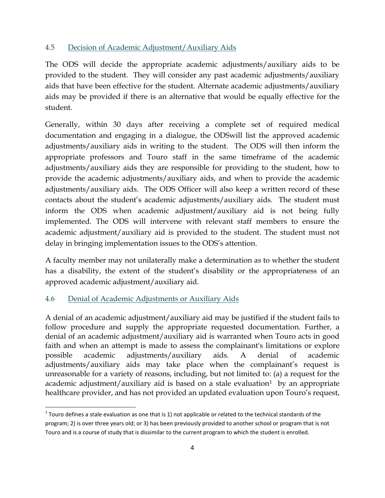#### 4.5 Decision of Academic Adjustment/Auxiliary Aids

The ODS will decide the appropriate academic adjustments/auxiliary aids to be provided to the student. They will consider any past academic adjustments/auxiliary aids that have been effective for the student. Alternate academic adjustments/auxiliary aids may be provided if there is an alternative that would be equally effective for the student.

Generally, within 30 days after receiving a complete set of required medical documentation and engaging in a dialogue, the ODSwill list the approved academic adjustments/auxiliary aids in writing to the student. The ODS will then inform the appropriate professors and Touro staff in the same timeframe of the academic adjustments/auxiliary aids they are responsible for providing to the student, how to provide the academic adjustments/auxiliary aids, and when to provide the academic adjustments/auxiliary aids. The ODS Officer will also keep a written record of these contacts about the student's academic adjustments/auxiliary aids. The student must inform the ODS when academic adjustment/auxiliary aid is not being fully implemented. The ODS will intervene with relevant staff members to ensure the academic adjustment/auxiliary aid is provided to the student. The student must not delay in bringing implementation issues to the ODS's attention.

A faculty member may not unilaterally make a determination as to whether the student has a disability, the extent of the student's disability or the appropriateness of an approved academic adjustment/auxiliary aid.

## 4.6 Denial of Academic Adjustments or Auxiliary Aids

A denial of an academic adjustment/auxiliary aid may be justified if the student fails to follow procedure and supply the appropriate requested documentation. Further, a denial of an academic adjustment/auxiliary aid is warranted when Touro acts in good faith and when an attempt is made to assess the complainant's limitations or explore possible academic adjustments/auxiliary aids. A denial of academic adjustments/auxiliary aids may take place when the complainant's request is unreasonable for a variety of reasons, including, but not limited to: (a) a request for the academic adjustment/auxiliary aid is based on a stale evaluation<sup>[1](#page-3-0)</sup> by an appropriate healthcare provider, and has not provided an updated evaluation upon Touro's request,

<span id="page-3-0"></span> $1$  Touro defines a stale evaluation as one that is 1) not applicable or related to the technical standards of the program; 2) is over three years old; or 3) has been previously provided to another school or program that is not Touro and is a course of study that is dissimilar to the current program to which the student is enrolled.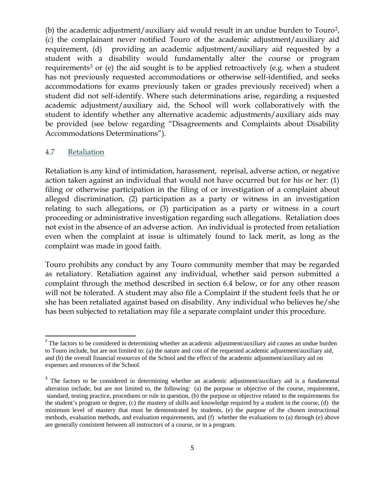(b) the academic adjustment/auxiliary aid would result in an undue burden to Touro[2](#page-4-0), (c) the complainant never notified Touro of the academic adjustment/auxiliary aid requirement, (d) providing an academic adjustment/auxiliary aid requested by a student with a disability would fundamentally alter the course or program requirements<sup>[3](#page-4-1)</sup> or (e) the aid sought is to be applied retroactively (e.g. when a student has not previously requested accommodations or otherwise self-identified, and seeks accommodations for exams previously taken or grades previously received) when a student did not self-identify. Where such determinations arise, regarding a requested academic adjustment/auxiliary aid, the School will work collaboratively with the student to identify whether any alternative academic adjustments/auxiliary aids may be provided (see below regarding "Disagreements and Complaints about Disability Accommodations Determinations").

#### 4.7 Retaliation

Retaliation is any kind of intimidation, harassment, reprisal, adverse action, or negative action taken against an individual that would not have occurred but for his or her: (1) filing or otherwise participation in the filing of or investigation of a complaint about alleged discrimination, (2) participation as a party or witness in an investigation relating to such allegations, or (3) participation as a party or witness in a court proceeding or administrative investigation regarding such allegations. Retaliation does not exist in the absence of an adverse action. An individual is protected from retaliation even when the complaint at issue is ultimately found to lack merit, as long as the complaint was made in good faith.

Touro prohibits any conduct by any Touro community member that may be regarded as retaliatory. Retaliation against any individual, whether said person submitted a complaint through the method described in section 6.4 below, or for any other reason will not be tolerated. A student may also file a Complaint if the student feels that he or she has been retaliated against based on disability. Any individual who believes he/she has been subjected to retaliation may file a separate complaint under this procedure.

<span id="page-4-0"></span><sup>&</sup>lt;sup>2</sup> The factors to be considered in determining whether an academic adjustment/auxiliary aid causes an undue burden to Touro include, but are not limited to: (a) the nature and cost of the requested academic adjustment/auxiliary aid, and (b) the overall financial resources of the School and the effect of the academic adjustment/auxiliary aid on expenses and resources of the School.

<span id="page-4-1"></span><sup>&</sup>lt;sup>3</sup> The factors to be considered in determining whether an academic adjustment/auxiliary aid is a fundamental alteration include, but are not limited to, the following: (a) the purpose or objective of the course, requirement, standard, testing practice, procedures or rule in question, (b) the purpose or objective related to the requirements for the student's program or degree, (c) the mastery of skills and knowledge required by a student in the course, (d) the minimum level of mastery that must be demonstrated by students, (e) the purpose of the chosen instructional methods, evaluation methods, and evaluation requirements, and (f) whether the evaluations to (a) through (e) above are generally consistent between all instructors of a course, or in a program.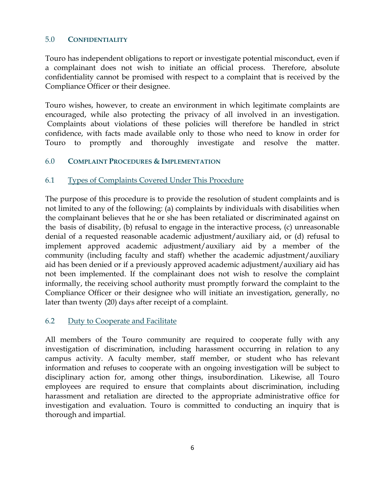#### 5.0 **CONFIDENTIALITY**

Touro has independent obligations to report or investigate potential misconduct, even if a complainant does not wish to initiate an official process. Therefore, absolute confidentiality cannot be promised with respect to a complaint that is received by the Compliance Officer or their designee.

Touro wishes, however, to create an environment in which legitimate complaints are encouraged, while also protecting the privacy of all involved in an investigation. Complaints about violations of these policies will therefore be handled in strict confidence, with facts made available only to those who need to know in order for Touro to promptly and thoroughly investigate and resolve the matter.

## 6.0 **COMPLAINT PROCEDURES & IMPLEMENTATION**

## 6.1 Types of Complaints Covered Under This Procedure

The purpose of this procedure is to provide the resolution of student complaints and is not limited to any of the following: (a) complaints by individuals with disabilities when the complainant believes that he or she has been retaliated or discriminated against on the basis of disability, (b) refusal to engage in the interactive process, (c) unreasonable denial of a requested reasonable academic adjustment/auxiliary aid, or (d) refusal to implement approved academic adjustment/auxiliary aid by a member of the community (including faculty and staff) whether the academic adjustment/auxiliary aid has been denied or if a previously approved academic adjustment/auxiliary aid has not been implemented. If the complainant does not wish to resolve the complaint informally, the receiving school authority must promptly forward the complaint to the Compliance Officer or their designee who will initiate an investigation, generally, no later than twenty (20) days after receipt of a complaint.

## 6.2 Duty to Cooperate and Facilitate

All members of the Touro community are required to cooperate fully with any investigation of discrimination, including harassment occurring in relation to any campus activity. A faculty member, staff member, or student who has relevant information and refuses to cooperate with an ongoing investigation will be subject to disciplinary action for, among other things, insubordination. Likewise, all Touro employees are required to ensure that complaints about discrimination, including harassment and retaliation are directed to the appropriate administrative office for investigation and evaluation. Touro is committed to conducting an inquiry that is thorough and impartial.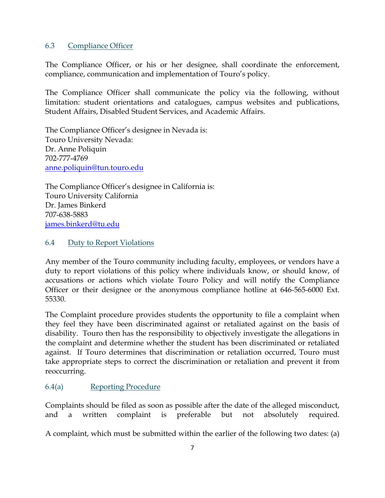## 6.3 Compliance Officer

The Compliance Officer, or his or her designee, shall coordinate the enforcement, compliance, communication and implementation of Touro's policy.

The Compliance Officer shall communicate the policy via the following, without limitation: student orientations and catalogues, campus websites and publications, Student Affairs, Disabled Student Services, and Academic Affairs.

The Compliance Officer's designee in Nevada is: Touro University Nevada: Dr. Anne Poliquin 702-777-4769 [anne.poliquin@tun.touro.edu](mailto:anne.poliquin@tun.touro.edu)

The Compliance Officer's designee in California is: Touro University California Dr. James Binkerd 707-638-5883 [james.binkerd@tu.edu](mailto:james.binkerd@tu.edu)

# 6.4 Duty to Report Violations

Any member of the Touro community including faculty, employees, or vendors have a duty to report violations of this policy where individuals know, or should know, of accusations or actions which violate Touro Policy and will notify the Compliance Officer or their designee or the anonymous compliance hotline at 646-565-6000 Ext. 55330.

The Complaint procedure provides students the opportunity to file a complaint when they feel they have been discriminated against or retaliated against on the basis of disability. Touro then has the responsibility to objectively investigate the allegations in the complaint and determine whether the student has been discriminated or retaliated against. If Touro determines that discrimination or retaliation occurred, Touro must take appropriate steps to correct the discrimination or retaliation and prevent it from reoccurring.

# 6.4(a) Reporting Procedure

Complaints should be filed as soon as possible after the date of the alleged misconduct, and a written complaint is preferable but not absolutely required.

A complaint, which must be submitted within the earlier of the following two dates: (a)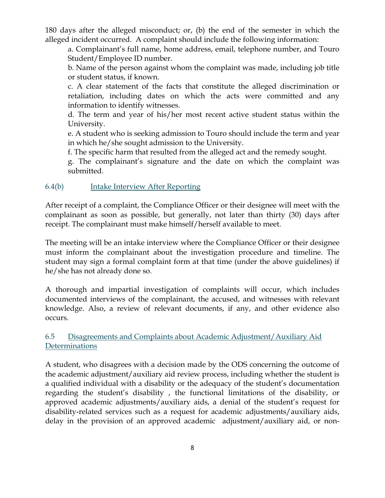180 days after the alleged misconduct; or, (b) the end of the semester in which the alleged incident occurred. A complaint should include the following information:

a. Complainant's full name, home address, email, telephone number, and Touro Student/Employee ID number.

b. Name of the person against whom the complaint was made, including job title or student status, if known.

c. A clear statement of the facts that constitute the alleged discrimination or retaliation, including dates on which the acts were committed and any information to identify witnesses.

d. The term and year of his/her most recent active student status within the University.

e. A student who is seeking admission to Touro should include the term and year in which he/she sought admission to the University.

f. The specific harm that resulted from the alleged act and the remedy sought.

g. The complainant's signature and the date on which the complaint was submitted.

# 6.4(b) Intake Interview After Reporting

After receipt of a complaint, the Compliance Officer or their designee will meet with the complainant as soon as possible, but generally, not later than thirty (30) days after receipt. The complainant must make himself/herself available to meet.

The meeting will be an intake interview where the Compliance Officer or their designee must inform the complainant about the investigation procedure and timeline. The student may sign a formal complaint form at that time (under the above guidelines) if he/she has not already done so.

A thorough and impartial investigation of complaints will occur, which includes documented interviews of the complainant, the accused, and witnesses with relevant knowledge. Also, a review of relevant documents, if any, and other evidence also occurs.

6.5 Disagreements and Complaints about Academic Adjustment/Auxiliary Aid Determinations

A student, who disagrees with a decision made by the ODS concerning the outcome of the academic adjustment/auxiliary aid review process, including whether the student is a qualified individual with a disability or the adequacy of the student's documentation regarding the student's disability , the functional limitations of the disability, or approved academic adjustments/auxiliary aids, a denial of the student's request for disability-related services such as a request for academic adjustments/auxiliary aids, delay in the provision of an approved academic adjustment/auxiliary aid, or non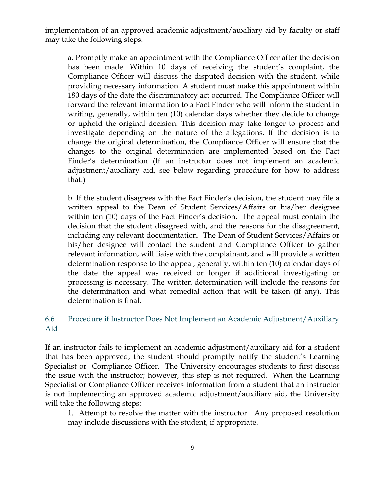implementation of an approved academic adjustment/auxiliary aid by faculty or staff may take the following steps:

a. Promptly make an appointment with the Compliance Officer after the decision has been made. Within 10 days of receiving the student's complaint, the Compliance Officer will discuss the disputed decision with the student, while providing necessary information. A student must make this appointment within 180 days of the date the discriminatory act occurred. The Compliance Officer will forward the relevant information to a Fact Finder who will inform the student in writing, generally, within ten (10) calendar days whether they decide to change or uphold the original decision. This decision may take longer to process and investigate depending on the nature of the allegations. If the decision is to change the original determination, the Compliance Officer will ensure that the changes to the original determination are implemented based on the Fact Finder's determination (If an instructor does not implement an academic adjustment/auxiliary aid, see below regarding procedure for how to address that.)

b. If the student disagrees with the Fact Finder's decision, the student may file a written appeal to the Dean of Student Services/Affairs or his/her designee within ten (10) days of the Fact Finder's decision. The appeal must contain the decision that the student disagreed with, and the reasons for the disagreement, including any relevant documentation. The Dean of Student Services/Affairs or his/her designee will contact the student and Compliance Officer to gather relevant information, will liaise with the complainant, and will provide a written determination response to the appeal, generally, within ten (10) calendar days of the date the appeal was received or longer if additional investigating or processing is necessary. The written determination will include the reasons for the determination and what remedial action that will be taken (if any). This determination is final.

# 6.6 Procedure if Instructor Does Not Implement an Academic Adjustment/Auxiliary Aid

If an instructor fails to implement an academic adjustment/auxiliary aid for a student that has been approved, the student should promptly notify the student's Learning Specialist or Compliance Officer. The University encourages students to first discuss the issue with the instructor; however, this step is not required. When the Learning Specialist or Compliance Officer receives information from a student that an instructor is not implementing an approved academic adjustment/auxiliary aid, the University will take the following steps:

1. Attempt to resolve the matter with the instructor. Any proposed resolution may include discussions with the student, if appropriate.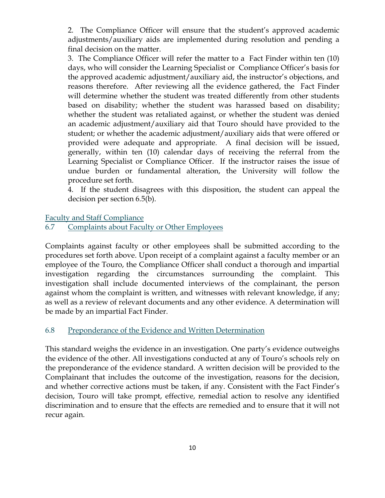2. The Compliance Officer will ensure that the student's approved academic adjustments/auxiliary aids are implemented during resolution and pending a final decision on the matter.

3. The Compliance Officer will refer the matter to a Fact Finder within ten (10) days, who will consider the Learning Specialist or Compliance Officer's basis for the approved academic adjustment/auxiliary aid, the instructor's objections, and reasons therefore. After reviewing all the evidence gathered, the Fact Finder will determine whether the student was treated differently from other students based on disability; whether the student was harassed based on disability; whether the student was retaliated against, or whether the student was denied an academic adjustment/auxiliary aid that Touro should have provided to the student; or whether the academic adjustment/auxiliary aids that were offered or provided were adequate and appropriate. A final decision will be issued, generally, within ten (10) calendar days of receiving the referral from the Learning Specialist or Compliance Officer. If the instructor raises the issue of undue burden or fundamental alteration, the University will follow the procedure set forth.

4. If the student disagrees with this disposition, the student can appeal the decision per section 6.5(b).

#### Faculty and Staff Compliance

#### 6.7 Complaints about Faculty or Other Employees

Complaints against faculty or other employees shall be submitted according to the procedures set forth above. Upon receipt of a complaint against a faculty member or an employee of the Touro, the Compliance Officer shall conduct a thorough and impartial investigation regarding the circumstances surrounding the complaint. This investigation shall include documented interviews of the complainant, the person against whom the complaint is written, and witnesses with relevant knowledge, if any; as well as a review of relevant documents and any other evidence. A determination will be made by an impartial Fact Finder.

## 6.8 Preponderance of the Evidence and Written Determination

This standard weighs the evidence in an investigation. One party's evidence outweighs the evidence of the other. All investigations conducted at any of Touro's schools rely on the preponderance of the evidence standard. A written decision will be provided to the Complainant that includes the outcome of the investigation, reasons for the decision, and whether corrective actions must be taken, if any. Consistent with the Fact Finder's decision, Touro will take prompt, effective, remedial action to resolve any identified discrimination and to ensure that the effects are remedied and to ensure that it will not recur again.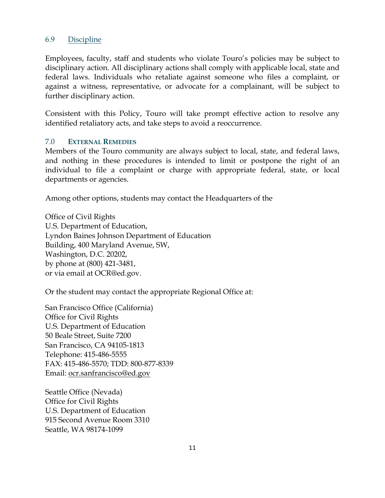#### 6.9 Discipline

Employees, faculty, staff and students who violate Touro's policies may be subject to disciplinary action. All disciplinary actions shall comply with applicable local, state and federal laws. Individuals who retaliate against someone who files a complaint, or against a witness, representative, or advocate for a complainant, will be subject to further disciplinary action.

Consistent with this Policy, Touro will take prompt effective action to resolve any identified retaliatory acts, and take steps to avoid a reoccurrence.

#### 7.0 **EXTERNAL REMEDIES**

Members of the Touro community are always subject to local, state, and federal laws, and nothing in these procedures is intended to limit or postpone the right of an individual to file a complaint or charge with appropriate federal, state, or local departments or agencies.

Among other options, students may contact the Headquarters of the

Office of Civil Rights U.S. Department of Education, Lyndon Baines Johnson Department of Education Building, 400 Maryland Avenue, SW, Washington, D.C. 20202, by phone at (800) 421-3481, or via email at OCR@ed.gov.

Or the student may contact the appropriate Regional Office at:

San Francisco Office (California) Office for Civil Rights U.S. Department of Education 50 Beale Street, Suite 7200 San Francisco, CA 94105-1813 Telephone: 415-486-5555 FAX: 415-486-5570; TDD: 800-877-8339 Email: [ocr.sanfrancisco@ed.gov](mailto:ocr.sanfrancisco@ed.gov)

Seattle Office (Nevada) Office for Civil Rights U.S. Department of Education 915 Second Avenue Room 3310 Seattle, WA 98174-1099